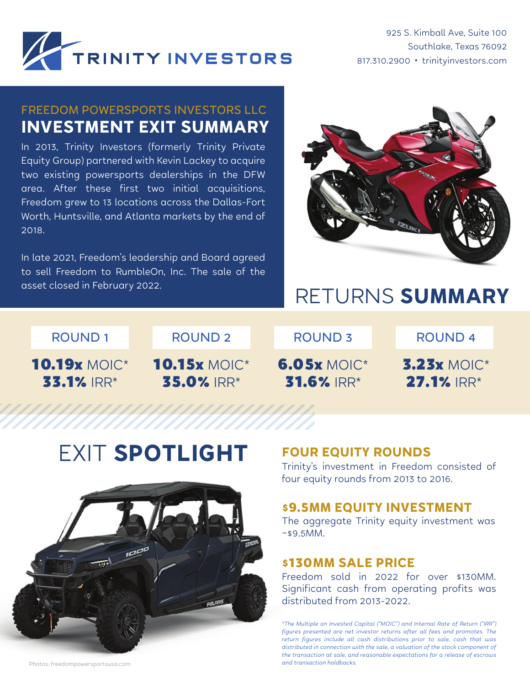

925 S. Kimball Ave, Suite 100 Southlake, Texas 76092 817.310.2900 • trinityinvestors.com

## FREEDOM POWERSPORTS INVESTORS LLC **INVESTMENT EXIT SUMMARY**

In 2013, Trinity Investors (formerly Trinity Private Equity Group) partnered with Kevin Lackey to acquire two existing powersports dealerships in the DFW area. After these first two initial acquisitions, Freedom grew to 13 locations across the Dallas-Fort Worth, Huntsville, and Atlanta markets by the end of 2018.

In late 2021, Freedom's leadership and Board agreed to sell Freedom to RumbleOn, Inc. The sale of the



# asset closed in February 2022. **RETURNS SUMMARY**

ROUND 1 ROUND 2 ROUND 3 ROUND 4 ROUND 2

10.19x MOIC\* 33.1% IRR\*

10.15x MOIC\* 35.0% IRR\*

6.05x MOIC\* 31.6% IRR\*

3.23x MOIC\* 27.1% IRR\*

## EXIT **SPOTLIGHT**



### **FOUR EQUITY ROUNDS**

Trinity's investment in Freedom consisted of four equity rounds from 2013 to 2016.

#### **\$9.5MM EQUITY INVESTMENT**

The aggregate Trinity equity investment was  $~89.5$ MM.

#### **\$130MM SALE PRICE**

Freedom sold in 2022 for over \$130MM. Significant cash from operating profits was distributed from 2013-2022.

*\*The Multiple on Invested Capital ("MOIC") and Internal Rate of Return ("IRR") figures presented are net investor returns after all fees and promotes. The return figures include all cash distributions prior to sale, cash that was distributed in connection with the sale, a valuation of the stock component of the transaction at sale, and reasonable expectations for a release of escrows* 

Photos: freedompowersportsusa.com *and transaction holdbacks.*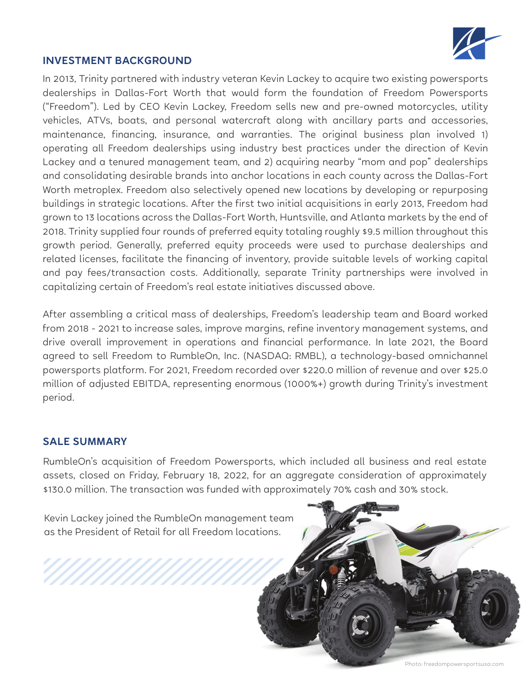

#### **INVESTMENT BACKGROUND**

In 2013, Trinity partnered with industry veteran Kevin Lackey to acquire two existing powersports dealerships in Dallas-Fort Worth that would form the foundation of Freedom Powersports ("Freedom"). Led by CEO Kevin Lackey, Freedom sells new and pre-owned motorcycles, utility vehicles, ATVs, boats, and personal watercraft along with ancillary parts and accessories, maintenance, financing, insurance, and warranties. The original business plan involved 1) operating all Freedom dealerships using industry best practices under the direction of Kevin Lackey and a tenured management team, and 2) acquiring nearby "mom and pop" dealerships and consolidating desirable brands into anchor locations in each county across the Dallas-Fort Worth metroplex. Freedom also selectively opened new locations by developing or repurposing buildings in strategic locations. After the first two initial acquisitions in early 2013, Freedom had grown to 13 locations across the Dallas-Fort Worth, Huntsville, and Atlanta markets by the end of 2018. Trinity supplied four rounds of preferred equity totaling roughly \$9.5 million throughout this growth period. Generally, preferred equity proceeds were used to purchase dealerships and related licenses, facilitate the financing of inventory, provide suitable levels of working capital and pay fees/transaction costs. Additionally, separate Trinity partnerships were involved in capitalizing certain of Freedom's real estate initiatives discussed above.

After assembling a critical mass of dealerships, Freedom's leadership team and Board worked from 2018 - 2021 to increase sales, improve margins, refine inventory management systems, and drive overall improvement in operations and financial performance. In late 2021, the Board agreed to sell Freedom to RumbleOn, Inc. (NASDAQ: RMBL), a technology-based omnichannel powersports platform. For 2021, Freedom recorded over \$220.0 million of revenue and over \$25.0 million of adjusted EBITDA, representing enormous (1000%+) growth during Trinity's investment period.

#### **SALE SUMMARY**

RumbleOn's acquisition of Freedom Powersports, which included all business and real estate assets, closed on Friday, February 18, 2022, for an aggregate consideration of approximately \$130.0 million. The transaction was funded with approximately 70% cash and 30% stock.

Kevin Lackey joined the RumbleOn management team as the President of Retail for all Freedom locations.

Photo: freedompowersportsusa.com